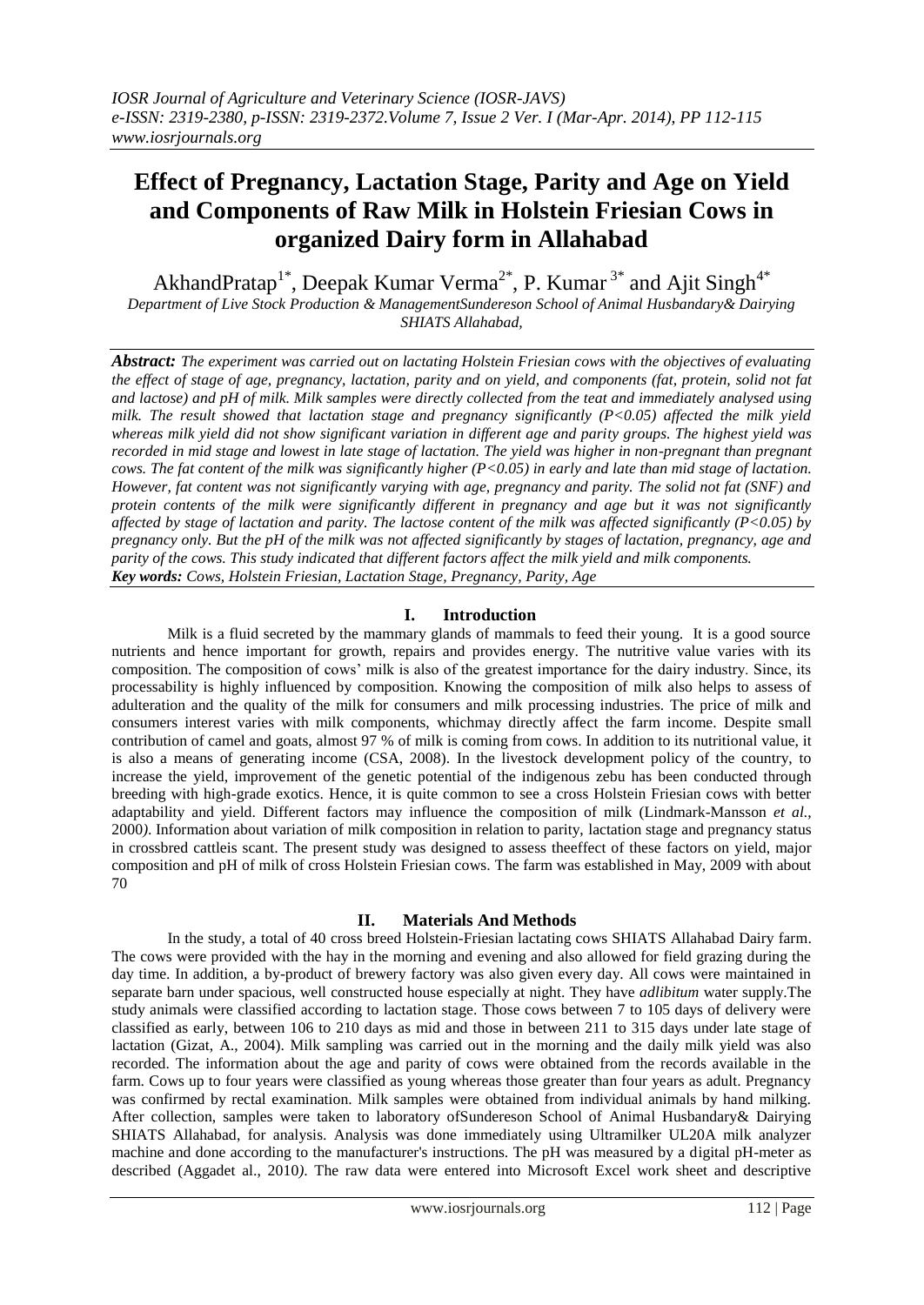# **Effect of Pregnancy, Lactation Stage, Parity and Age on Yield and Components of Raw Milk in Holstein Friesian Cows in organized Dairy form in Allahabad**

AkhandPratap<sup>1\*</sup>, Deepak Kumar Verma<sup>2\*</sup>, P. Kumar<sup>3\*</sup> and Ajit Singh<sup>4\*</sup> *Department of Live Stock Production & ManagementSundereson School of Animal Husbandary& Dairying SHIATS Allahabad,*

*Abstract: The experiment was carried out on lactating Holstein Friesian cows with the objectives of evaluating the effect of stage of age, pregnancy, lactation, parity and on yield, and components (fat, protein, solid not fat and lactose) and pH of milk. Milk samples were directly collected from the teat and immediately analysed using milk. The result showed that lactation stage and pregnancy significantly (P<0.05) affected the milk yield whereas milk yield did not show significant variation in different age and parity groups. The highest yield was recorded in mid stage and lowest in late stage of lactation. The yield was higher in non-pregnant than pregnant cows. The fat content of the milk was significantly higher (P<0.05) in early and late than mid stage of lactation. However, fat content was not significantly varying with age, pregnancy and parity. The solid not fat (SNF) and protein contents of the milk were significantly different in pregnancy and age but it was not significantly affected by stage of lactation and parity. The lactose content of the milk was affected significantly (P<0.05) by pregnancy only. But the pH of the milk was not affected significantly by stages of lactation, pregnancy, age and parity of the cows. This study indicated that different factors affect the milk yield and milk components. Key words: Cows, Holstein Friesian, Lactation Stage, Pregnancy, Parity, Age*

## **I. Introduction**

Milk is a fluid secreted by the mammary glands of mammals to feed their young. It is a good source nutrients and hence important for growth, repairs and provides energy. The nutritive value varies with its composition. The composition of cows' milk is also of the greatest importance for the dairy industry. Since, its processability is highly influenced by composition. Knowing the composition of milk also helps to assess of adulteration and the quality of the milk for consumers and milk processing industries. The price of milk and consumers interest varies with milk components, whichmay directly affect the farm income. Despite small contribution of camel and goats, almost 97 % of milk is coming from cows. In addition to its nutritional value, it is also a means of generating income (CSA, 2008). In the livestock development policy of the country, to increase the yield, improvement of the genetic potential of the indigenous zebu has been conducted through breeding with high-grade exotics. Hence, it is quite common to see a cross Holstein Friesian cows with better adaptability and yield. Different factors may influence the composition of milk (Lindmark-Mansson *et al.,* 2000*)*. Information about variation of milk composition in relation to parity, lactation stage and pregnancy status in crossbred cattleis scant. The present study was designed to assess theeffect of these factors on yield, major composition and pH of milk of cross Holstein Friesian cows. The farm was established in May, 2009 with about 70

# **II. Materials And Methods**

In the study, a total of 40 cross breed Holstein-Friesian lactating cows SHIATS Allahabad Dairy farm. The cows were provided with the hay in the morning and evening and also allowed for field grazing during the day time. In addition, a by-product of brewery factory was also given every day. All cows were maintained in separate barn under spacious, well constructed house especially at night. They have *adlibitum* water supply.The study animals were classified according to lactation stage. Those cows between 7 to 105 days of delivery were classified as early, between 106 to 210 days as mid and those in between 211 to 315 days under late stage of lactation (Gizat, A., 2004). Milk sampling was carried out in the morning and the daily milk yield was also recorded. The information about the age and parity of cows were obtained from the records available in the farm. Cows up to four years were classified as young whereas those greater than four years as adult. Pregnancy was confirmed by rectal examination. Milk samples were obtained from individual animals by hand milking. After collection, samples were taken to laboratory ofSundereson School of Animal Husbandary& Dairying SHIATS Allahabad, for analysis. Analysis was done immediately using Ultramilker UL20A milk analyzer machine and done according to the manufacturer's instructions. The pH was measured by a digital pH-meter as described (Aggadet al., 2010*)*. The raw data were entered into Microsoft Excel work sheet and descriptive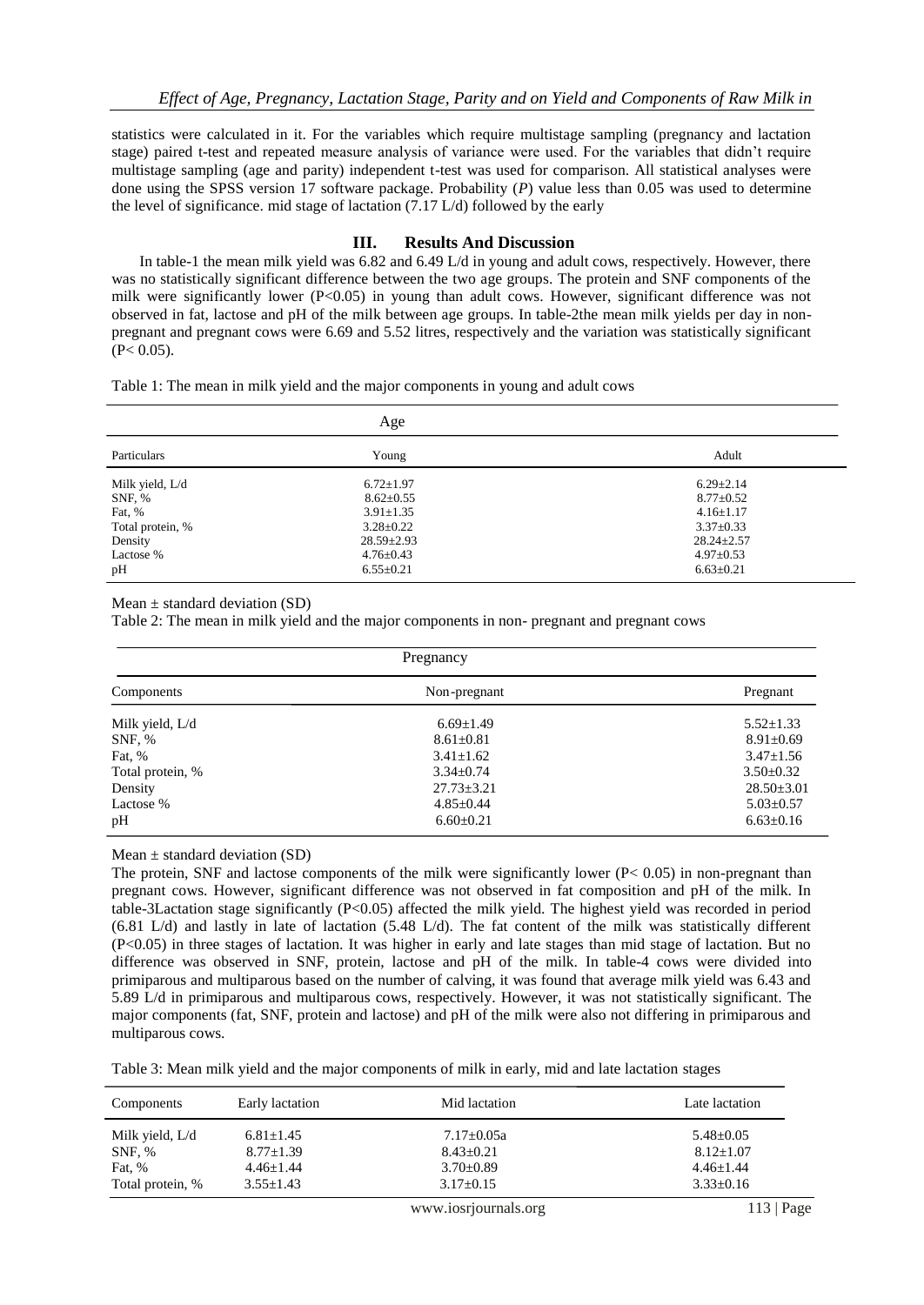statistics were calculated in it. For the variables which require multistage sampling (pregnancy and lactation stage) paired t-test and repeated measure analysis of variance were used. For the variables that didn't require multistage sampling (age and parity) independent t-test was used for comparison. All statistical analyses were done using the SPSS version 17 software package. Probability (*P*) value less than 0.05 was used to determine the level of significance. mid stage of lactation (7.17 L/d) followed by the early

## **III. Results And Discussion**

In table-1 the mean milk yield was 6.82 and 6.49 L/d in young and adult cows, respectively. However, there was no statistically significant difference between the two age groups. The protein and SNF components of the milk were significantly lower (P<0.05) in young than adult cows. However, significant difference was not observed in fat, lactose and pH of the milk between age groups. In table-2the mean milk yields per day in nonpregnant and pregnant cows were 6.69 and 5.52 litres, respectively and the variation was statistically significant  $(P< 0.05)$ .

Table 1: The mean in milk yield and the major components in young and adult cows

| Age              |                  |                  |  |
|------------------|------------------|------------------|--|
| Particulars      | Young            | Adult            |  |
| Milk yield, L/d  | $6.72 \pm 1.97$  | $6.29 \pm 2.14$  |  |
| SNF, %           | $8.62 \pm 0.55$  | $8.77 \pm 0.52$  |  |
| Fat, %           | $3.91 \pm 1.35$  | $4.16 \pm 1.17$  |  |
| Total protein, % | $3.28 \pm 0.22$  | $3.37 \pm 0.33$  |  |
| Density          | $28.59 \pm 2.93$ | $28.24 \pm 2.57$ |  |
| Lactose %        | $4.76 \pm 0.43$  | $4.97 \pm 0.53$  |  |
| pH               | $6.55 \pm 0.21$  | $6.63 \pm 0.21$  |  |

#### Mean  $\pm$  standard deviation (SD)

Table 2: The mean in milk yield and the major components in non- pregnant and pregnant cows

| Pregnancy        |                  |                  |  |
|------------------|------------------|------------------|--|
| Components       | Non-pregnant     | Pregnant         |  |
| Milk yield, L/d  | $6.69 \pm 1.49$  | $5.52 \pm 1.33$  |  |
| SNF, %           | $8.61 \pm 0.81$  | $8.91 \pm 0.69$  |  |
| Fat, %           | $3.41 \pm 1.62$  | $3.47 \pm 1.56$  |  |
| Total protein, % | $3.34 \pm 0.74$  | $3.50 \pm 0.32$  |  |
| Density          | $27.73 \pm 3.21$ | $28.50 \pm 3.01$ |  |
| Lactose %        | $4.85 \pm 0.44$  | $5.03 \pm 0.57$  |  |
| pH               | $6.60 \pm 0.21$  | $6.63 \pm 0.16$  |  |

### Mean  $\pm$  standard deviation (SD)

The protein, SNF and lactose components of the milk were significantly lower  $(P< 0.05)$  in non-pregnant than pregnant cows. However, significant difference was not observed in fat composition and pH of the milk. In table-3Lactation stage significantly (P<0.05) affected the milk yield. The highest yield was recorded in period (6.81 L/d) and lastly in late of lactation (5.48 L/d). The fat content of the milk was statistically different (P<0.05) in three stages of lactation. It was higher in early and late stages than mid stage of lactation. But no difference was observed in SNF, protein, lactose and pH of the milk. In table-4 cows were divided into primiparous and multiparous based on the number of calving, it was found that average milk yield was 6.43 and 5.89 L/d in primiparous and multiparous cows, respectively. However, it was not statistically significant. The major components (fat, SNF, protein and lactose) and pH of the milk were also not differing in primiparous and multiparous cows.

Table 3: Mean milk yield and the major components of milk in early, mid and late lactation stages

| Components       | Early lactation | Mid lactation    | Late lactation  |
|------------------|-----------------|------------------|-----------------|
| Milk yield, L/d  | $6.81 \pm 1.45$ | $7.17 \pm 0.05a$ | $5.48 \pm 0.05$ |
| SNF. %           | $8.77 \pm 1.39$ | $8.43 + 0.21$    | $8.12 + 1.07$   |
| Fat, %           | $4.46 + 1.44$   | $3.70 \pm 0.89$  | $4.46 + 1.44$   |
| Total protein, % | $3.55 + 1.43$   | $3.17+0.15$      | $3.33 \pm 0.16$ |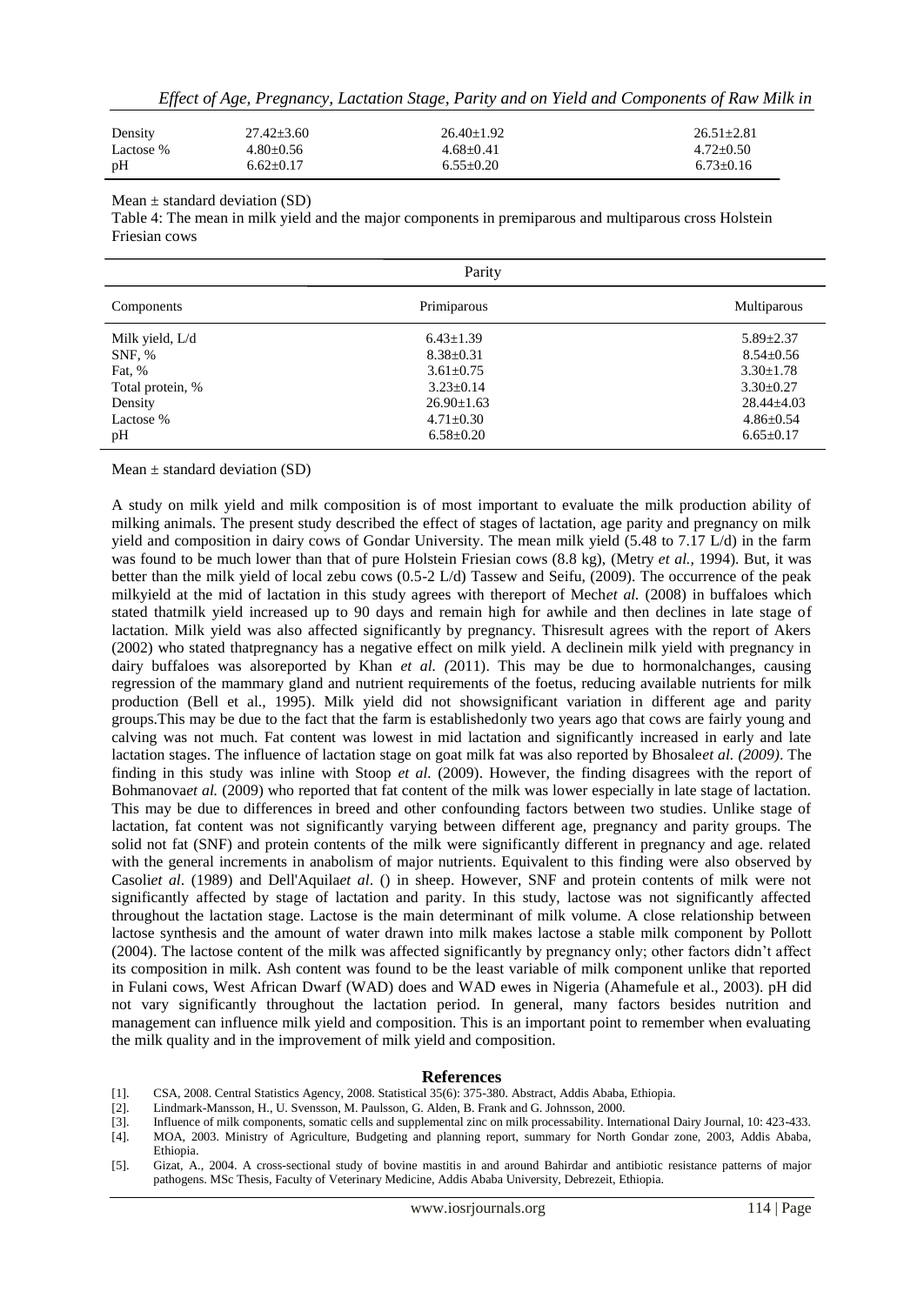| Density   | $27.42 + 3.60$ | $26.40+1.92$  | $26.51 + 2.81$ |
|-----------|----------------|---------------|----------------|
| Lactose % | $4.80 + 0.56$  | $4.68 + 0.41$ | $4.72+0.50$    |
| pH        | $6.62+0.17$    | $6.55+0.20$   | $6.73+0.16$    |

Mean  $\pm$  standard deviation (SD)

Table 4: The mean in milk yield and the major components in premiparous and multiparous cross Holstein Friesian cows

| Parity                                                                                |                                                                                                                                    |                                                                                                                                    |  |
|---------------------------------------------------------------------------------------|------------------------------------------------------------------------------------------------------------------------------------|------------------------------------------------------------------------------------------------------------------------------------|--|
| Components                                                                            | Primiparous                                                                                                                        | Multiparous                                                                                                                        |  |
| Milk yield, L/d<br>SNF, %<br>Fat, %<br>Total protein, %<br>Density<br>Lactose %<br>pH | $6.43 \pm 1.39$<br>$8.38 \pm 0.31$<br>$3.61 \pm 0.75$<br>$3.23 \pm 0.14$<br>$26.90 \pm 1.63$<br>$4.71 \pm 0.30$<br>$6.58 \pm 0.20$ | $5.89 \pm 2.37$<br>$8.54 \pm 0.56$<br>$3.30 \pm 1.78$<br>$3.30 \pm 0.27$<br>$28.44 \pm 4.03$<br>$4.86 \pm 0.54$<br>$6.65 \pm 0.17$ |  |

Mean  $\pm$  standard deviation (SD)

A study on milk yield and milk composition is of most important to evaluate the milk production ability of milking animals. The present study described the effect of stages of lactation, age parity and pregnancy on milk yield and composition in dairy cows of Gondar University. The mean milk yield (5.48 to 7.17 L/d) in the farm was found to be much lower than that of pure Holstein Friesian cows (8.8 kg), (Metry *et al.,* 1994). But, it was better than the milk yield of local zebu cows (0.5-2 L/d) Tassew and Seifu, (2009). The occurrence of the peak milkyield at the mid of lactation in this study agrees with thereport of Mech*et al.* (2008) in buffaloes which stated thatmilk yield increased up to 90 days and remain high for awhile and then declines in late stage of lactation. Milk yield was also affected significantly by pregnancy. Thisresult agrees with the report of Akers (2002) who stated thatpregnancy has a negative effect on milk yield. A declinein milk yield with pregnancy in dairy buffaloes was alsoreported by Khan *et al. (*2011). This may be due to hormonalchanges, causing regression of the mammary gland and nutrient requirements of the foetus, reducing available nutrients for milk production (Bell et al., 1995). Milk yield did not showsignificant variation in different age and parity groups.This may be due to the fact that the farm is establishedonly two years ago that cows are fairly young and calving was not much. Fat content was lowest in mid lactation and significantly increased in early and late lactation stages. The influence of lactation stage on goat milk fat was also reported by Bhosale*et al. (2009)*. The finding in this study was inline with Stoop *et al.* (2009). However, the finding disagrees with the report of Bohmanova*et al.* (2009) who reported that fat content of the milk was lower especially in late stage of lactation. This may be due to differences in breed and other confounding factors between two studies. Unlike stage of lactation, fat content was not significantly varying between different age, pregnancy and parity groups. The solid not fat (SNF) and protein contents of the milk were significantly different in pregnancy and age. related with the general increments in anabolism of major nutrients. Equivalent to this finding were also observed by Casoli*et al*. (1989) and Dell'Aquila*et al*. () in sheep. However, SNF and protein contents of milk were not significantly affected by stage of lactation and parity. In this study, lactose was not significantly affected throughout the lactation stage. Lactose is the main determinant of milk volume. A close relationship between lactose synthesis and the amount of water drawn into milk makes lactose a stable milk component by Pollott (2004). The lactose content of the milk was affected significantly by pregnancy only; other factors didn't affect its composition in milk. Ash content was found to be the least variable of milk component unlike that reported in Fulani cows, West African Dwarf (WAD) does and WAD ewes in Nigeria (Ahamefule et al., 2003). pH did not vary significantly throughout the lactation period. In general, many factors besides nutrition and management can influence milk yield and composition. This is an important point to remember when evaluating the milk quality and in the improvement of milk yield and composition.

#### **References**

- [1]. CSA, 2008. Central Statistics Agency, 2008. Statistical 35(6): 375-380. Abstract, Addis Ababa, Ethiopia.
- [2]. Lindmark-Mansson, H., U. Svensson, M. Paulsson, G. Alden, B. Frank and G. Johnsson, 2000.
- [3]. Influence of milk components, somatic cells and supplemental zinc on milk processability. International Dairy Journal, 10: 423-433. [4]. MOA, 2003. Ministry of Agriculture, Budgeting and planning report, summary for North Gondar zone, 2003, Addis Ababa, Ethiopia.
- [5]. Gizat, A., 2004. A cross-sectional study of bovine mastitis in and around Bahirdar and antibiotic resistance patterns of major pathogens. MSc Thesis, Faculty of Veterinary Medicine, Addis Ababa University, Debrezeit, Ethiopia.